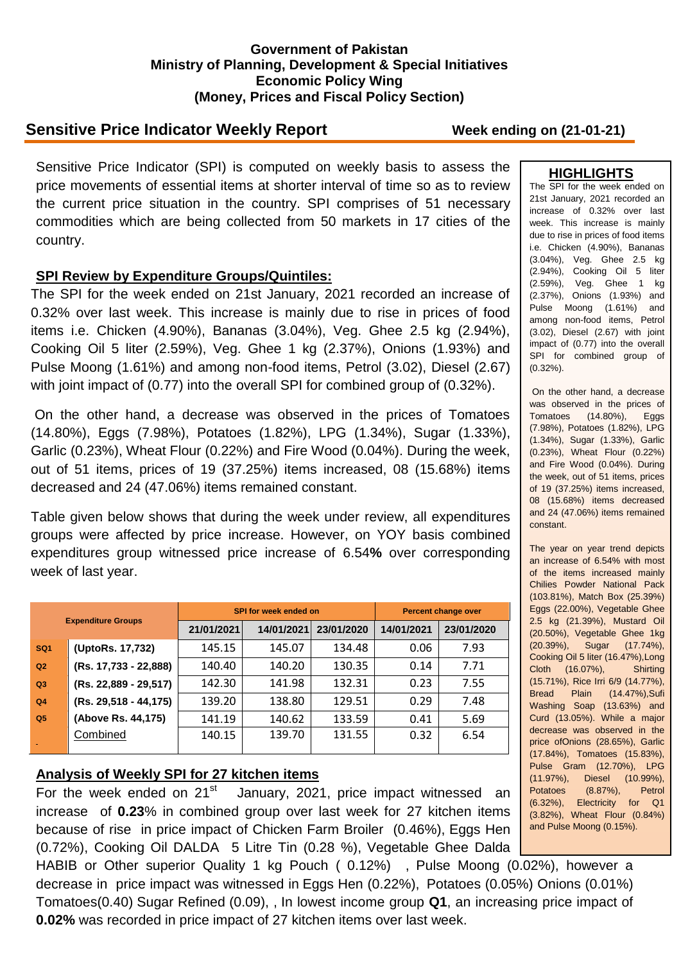#### **Government of Pakistan Ministry of Planning, Development & Special Initiatives Economic Policy Wing (Money, Prices and Fiscal Policy Section)**

# **Sensitive Price Indicator Weekly Report Week ending on (21-01-21)**

Sensitive Price Indicator (SPI) is computed on weekly basis to assess the price movements of essential items at shorter interval of time so as to review the current price situation in the country. SPI comprises of 51 necessary commodities which are being collected from 50 markets in 17 cities of the country.

## **SPI Review by Expenditure Groups/Quintiles:**

The SPI for the week ended on 21st January, 2021 recorded an increase of 0.32% over last week. This increase is mainly due to rise in prices of food items i.e. Chicken (4.90%), Bananas (3.04%), Veg. Ghee 2.5 kg (2.94%), Cooking Oil 5 liter (2.59%), Veg. Ghee 1 kg (2.37%), Onions (1.93%) and Pulse Moong (1.61%) and among non-food items, Petrol (3.02), Diesel (2.67) with joint impact of (0.77) into the overall SPI for combined group of (0.32%).

On the other hand, a decrease was observed in the prices of Tomatoes (14.80%), Eggs (7.98%), Potatoes (1.82%), LPG (1.34%), Sugar (1.33%), Garlic (0.23%), Wheat Flour (0.22%) and Fire Wood (0.04%). During the week, out of 51 items, prices of 19 (37.25%) items increased, 08 (15.68%) items decreased and 24 (47.06%) items remained constant.

Table given below shows that during the week under review, all expenditures groups were affected by price increase. However, on YOY basis combined expenditures group witnessed price increase of 6.54**%** over corresponding week of last year.

| <b>Expenditure Groups</b> |                       |            | SPI for week ended on | <b>Percent change over</b> |            |            |
|---------------------------|-----------------------|------------|-----------------------|----------------------------|------------|------------|
|                           |                       | 21/01/2021 | 14/01/2021            | 23/01/2020                 | 14/01/2021 | 23/01/2020 |
| SQ <sub>1</sub>           | (UptoRs. 17,732)      | 145.15     | 145.07                | 134.48                     | 0.06       | 7.93       |
| Q <sub>2</sub>            | (Rs. 17,733 - 22,888) | 140.40     | 140.20                | 130.35                     | 0.14       | 7.71       |
| Q3                        | (Rs. 22,889 - 29,517) | 142.30     | 141.98                | 132.31                     | 0.23       | 7.55       |
| Q <sub>4</sub>            | (Rs. 29,518 - 44,175) | 139.20     | 138.80                | 129.51                     | 0.29       | 7.48       |
| Q <sub>5</sub>            | (Above Rs. 44,175)    | 141.19     | 140.62                | 133.59                     | 0.41       | 5.69       |
|                           | Combined              | 140.15     | 139.70                | 131.55                     | 0.32       | 6.54       |

### **Analysis of Weekly SPI for 27 kitchen items**

For the week ended on  $21^{st}$  January, 2021, price impact witnessed an increase of **0.23**% in combined group over last week for 27 kitchen items because of rise in price impact of Chicken Farm Broiler (0.46%), Eggs Hen (0.72%), Cooking Oil DALDA 5 Litre Tin (0.28 %), Vegetable Ghee Dalda

HABIB or Other superior Quality 1 kg Pouch ( 0.12%) , Pulse Moong (0.02%), however a decrease in price impact was witnessed in Eggs Hen (0.22%), Potatoes (0.05%) Onions (0.01%) Tomatoes(0.40) Sugar Refined (0.09), , In lowest income group **Q1**, an increasing price impact of **0.02%** was recorded in price impact of 27 kitchen items over last week.

#### **HIGHLIGHTS**

The SPI for the week ended on 21st January, 2021 recorded an increase of 0.32% over last week. This increase is mainly due to rise in prices of food items i.e. Chicken (4.90%), Bananas (3.04%), Veg. Ghee 2.5 kg (2.94%), Cooking Oil 5 liter (2.59%), Veg. Ghee 1 kg (2.37%), Onions (1.93%) and Pulse Moong (1.61%) and among non-food items, Petrol (3.02), Diesel (2.67) with joint impact of (0.77) into the overall SPI for combined group of (0.32%).

On the other hand, a decrease was observed in the prices of Tomatoes (14.80%), Eggs (7.98%), Potatoes (1.82%), LPG (1.34%), Sugar (1.33%), Garlic (0.23%), Wheat Flour (0.22%) and Fire Wood (0.04%). During the week, out of 51 items, prices of 19 (37.25%) items increased, 08 (15.68%) items decreased and 24 (47.06%) items remained constant.

The year on year trend depicts an increase of 6.54% with most of the items increased mainly Chilies Powder National Pack (103.81%), Match Box (25.39%) Eggs (22.00%), Vegetable Ghee 2.5 kg (21.39%), Mustard Oil (20.50%), Vegetable Ghee 1kg (20.39%), Sugar (17.74%), Cooking Oil 5 liter (16.47%),Long Cloth (16.07%), Shirting (15.71%), Rice Irri 6/9 (14.77%), Bread Plain (14.47%),Sufi Washing Soap (13.63%) and Curd (13.05%). While a major decrease was observed in the price ofOnions (28.65%), Garlic (17.84%), Tomatoes (15.83%), Pulse Gram (12.70%), LPG (11.97%), Diesel (10.99%), Potatoes (8.87%), Petrol (6.32%), Electricity for Q1 (3.82%), Wheat Flour (0.84%) and Pulse Moong (0.15%).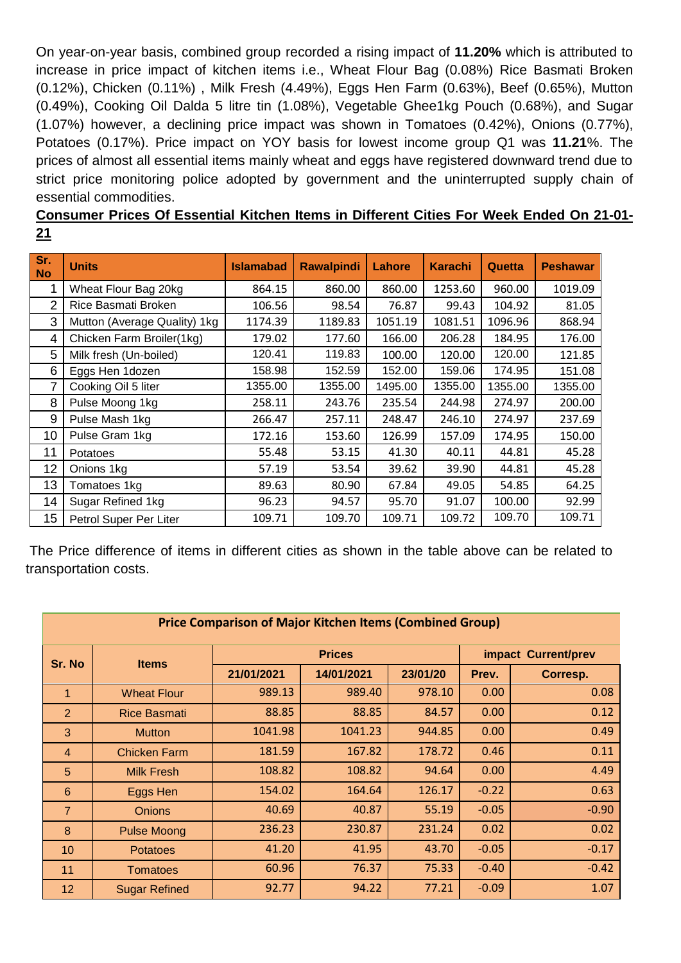On year-on-year basis, combined group recorded a rising impact of **11.20%** which is attributed to increase in price impact of kitchen items i.e., Wheat Flour Bag (0.08%) Rice Basmati Broken (0.12%), Chicken (0.11%) , Milk Fresh (4.49%), Eggs Hen Farm (0.63%), Beef (0.65%), Mutton (0.49%), Cooking Oil Dalda 5 litre tin (1.08%), Vegetable Ghee1kg Pouch (0.68%), and Sugar (1.07%) however, a declining price impact was shown in Tomatoes (0.42%), Onions (0.77%), Potatoes (0.17%). Price impact on YOY basis for lowest income group Q1 was **11.21**%. The prices of almost all essential items mainly wheat and eggs have registered downward trend due to strict price monitoring police adopted by government and the uninterrupted supply chain of essential commodities.

**Consumer Prices Of Essential Kitchen Items in Different Cities For Week Ended On 21-01- 21**

| Sr.<br><b>No</b> | <b>Units</b>                 | <b>Islamabad</b> | <b>Rawalpindi</b> | Lahore  | <b>Karachi</b> | Quetta  | <b>Peshawar</b> |
|------------------|------------------------------|------------------|-------------------|---------|----------------|---------|-----------------|
| 1                | Wheat Flour Bag 20kg         | 864.15           | 860.00            | 860.00  | 1253.60        | 960.00  | 1019.09         |
| $\overline{2}$   | Rice Basmati Broken          | 106.56           | 98.54             | 76.87   | 99.43          | 104.92  | 81.05           |
| 3                | Mutton (Average Quality) 1kg | 1174.39          | 1189.83           | 1051.19 | 1081.51        | 1096.96 | 868.94          |
| 4                | Chicken Farm Broiler(1kg)    | 179.02           | 177.60            | 166.00  | 206.28         | 184.95  | 176.00          |
| 5                | Milk fresh (Un-boiled)       | 120.41           | 119.83            | 100.00  | 120.00         | 120.00  | 121.85          |
| 6                | Eggs Hen 1dozen              | 158.98           | 152.59            | 152.00  | 159.06         | 174.95  | 151.08          |
| 7                | Cooking Oil 5 liter          | 1355.00          | 1355.00           | 1495.00 | 1355.00        | 1355.00 | 1355.00         |
| 8                | Pulse Moong 1kg              | 258.11           | 243.76            | 235.54  | 244.98         | 274.97  | 200.00          |
| 9                | Pulse Mash 1kg               | 266.47           | 257.11            | 248.47  | 246.10         | 274.97  | 237.69          |
| 10               | Pulse Gram 1kg               | 172.16           | 153.60            | 126.99  | 157.09         | 174.95  | 150.00          |
| 11               | Potatoes                     | 55.48            | 53.15             | 41.30   | 40.11          | 44.81   | 45.28           |
| 12               | Onions 1kg                   | 57.19            | 53.54             | 39.62   | 39.90          | 44.81   | 45.28           |
| 13               | Tomatoes 1kg                 | 89.63            | 80.90             | 67.84   | 49.05          | 54.85   | 64.25           |
| 14               | Sugar Refined 1kg            | 96.23            | 94.57             | 95.70   | 91.07          | 100.00  | 92.99           |
| 15               | Petrol Super Per Liter       | 109.71           | 109.70            | 109.71  | 109.72         | 109.70  | 109.71          |

The Price difference of items in different cities as shown in the table above can be related to transportation costs.

| <b>Price Comparison of Major Kitchen Items (Combined Group)</b> |                      |            |               |                     |         |          |  |
|-----------------------------------------------------------------|----------------------|------------|---------------|---------------------|---------|----------|--|
| Sr. No                                                          | <b>Items</b>         |            | <b>Prices</b> | impact Current/prev |         |          |  |
|                                                                 |                      | 21/01/2021 | 14/01/2021    | 23/01/20            | Prev.   | Corresp. |  |
| 1                                                               | <b>Wheat Flour</b>   | 989.13     | 989.40        | 978.10              | 0.00    | 0.08     |  |
| $\overline{2}$                                                  | <b>Rice Basmati</b>  | 88.85      | 88.85         | 84.57               | 0.00    | 0.12     |  |
| 3                                                               | <b>Mutton</b>        | 1041.98    | 1041.23       | 944.85              | 0.00    | 0.49     |  |
| $\overline{4}$                                                  | <b>Chicken Farm</b>  | 181.59     | 167.82        | 178.72              | 0.46    | 0.11     |  |
| 5                                                               | <b>Milk Fresh</b>    | 108.82     | 108.82        | 94.64               | 0.00    | 4.49     |  |
| $6\phantom{1}6$                                                 | Eggs Hen             | 154.02     | 164.64        | 126.17              | $-0.22$ | 0.63     |  |
| $\overline{7}$                                                  | <b>Onions</b>        | 40.69      | 40.87         | 55.19               | $-0.05$ | $-0.90$  |  |
| 8                                                               | <b>Pulse Moong</b>   | 236.23     | 230.87        | 231.24              | 0.02    | 0.02     |  |
| 10                                                              | <b>Potatoes</b>      | 41.20      | 41.95         | 43.70               | $-0.05$ | $-0.17$  |  |
| 11                                                              | <b>Tomatoes</b>      | 60.96      | 76.37         | 75.33               | $-0.40$ | $-0.42$  |  |
| 12                                                              | <b>Sugar Refined</b> | 92.77      | 94.22         | 77.21               | $-0.09$ | 1.07     |  |